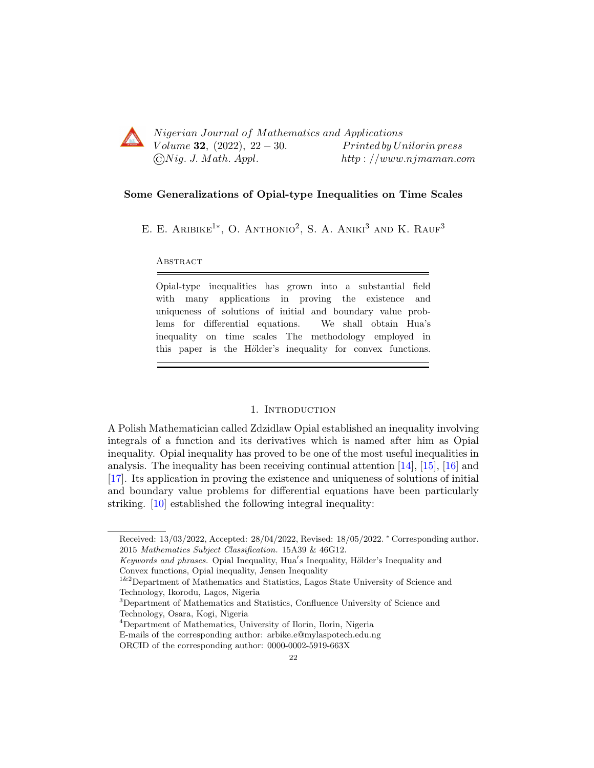

Nigerian Journal of Mathematics and Applications Volume 32,  $(2022)$ ,  $22-30$ . Printed by Unilorin press  $\bigcirc Nig. J. Math. Appl.$  http://www.njmaman.com

#### Some Generalizations of Opial-type Inequalities on Time Scales

E. E. ARIBIKE<sup>1\*</sup>, O. ANTHONIO<sup>2</sup>, S. A. ANIKI<sup>3</sup> AND K. RAUF<sup>3</sup>

#### **ABSTRACT**

Opial-type inequalities has grown into a substantial field with many applications in proving the existence and uniqueness of solutions of initial and boundary value problems for differential equations. We shall obtain Hua's inequality on time scales The methodology employed in this paper is the Hölder's inequality for convex functions.

# 1. INTRODUCTION

A Polish Mathematician called Zdzidlaw Opial established an inequality involving integrals of a function and its derivatives which is named after him as Opial inequality. Opial inequality has proved to be one of the most useful inequalities in analysis. The inequality has been receiving continual attention [\[14\]](#page-8-0), [\[15\]](#page-8-1), [\[16\]](#page-8-2) and [\[17\]](#page-8-3). Its application in proving the existence and uniqueness of solutions of initial and boundary value problems for differential equations have been particularly striking. [\[10\]](#page-7-0) established the following integral inequality:

Received: 13/03/2022, Accepted: 28/04/2022, Revised: 18/05/2022. <sup>∗</sup> Corresponding author. 2015 Mathematics Subject Classification. 15A39 & 46G12.

Keywords and phrases. Opial Inequality, Hua's Inequality, Hölder's Inequality and Convex functions, Opial inequality, Jensen Inequality

<sup>&</sup>lt;sup>1&2</sup>Department of Mathematics and Statistics, Lagos State University of Science and Technology, Ikorodu, Lagos, Nigeria

<sup>3</sup>Department of Mathematics and Statistics, Confluence University of Science and Technology, Osara, Kogi, Nigeria

<sup>4</sup>Department of Mathematics, University of Ilorin, Ilorin, Nigeria E-mails of the corresponding author: arbike.e@mylaspotech.edu.ng

ORCID of the corresponding author: 0000-0002-5919-663X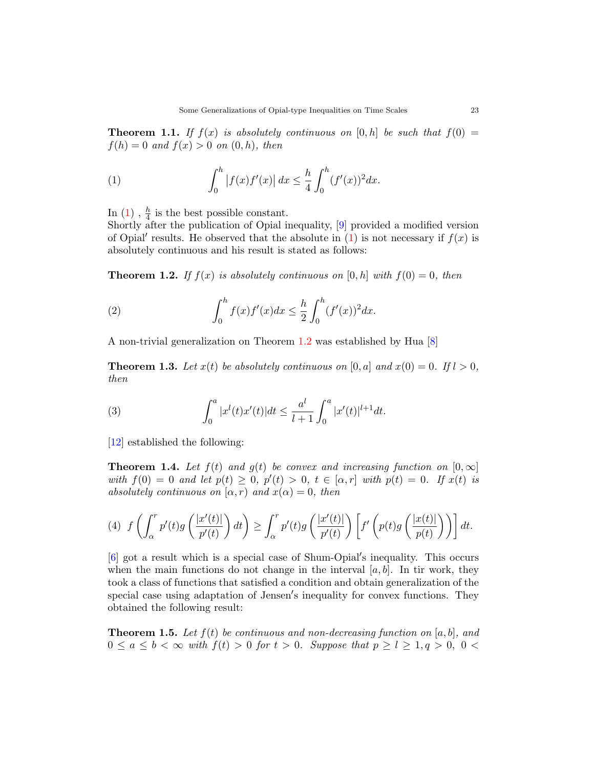**Theorem 1.1.** If  $f(x)$  is absolutely continuous on  $[0, h]$  be such that  $f(0) =$  $f(h) = 0$  and  $f(x) > 0$  on  $(0, h)$ , then

<span id="page-1-0"></span>(1) 
$$
\int_0^h |f(x)f'(x)| dx \leq \frac{h}{4} \int_0^h (f'(x))^2 dx.
$$

In  $(1)$ ,  $\frac{h}{4}$  is the best possible constant.

Shortly after the publication of Opial inequality, [\[9\]](#page-7-1) provided a modified version of Opial' results. He observed that the absolute in  $(1)$  is not necessary if  $f(x)$  is absolutely continuous and his result is stated as follows:

<span id="page-1-1"></span>**Theorem 1.2.** If  $f(x)$  is absolutely continuous on [0, h] with  $f(0) = 0$ , then

<span id="page-1-2"></span>(2) 
$$
\int_0^h f(x)f'(x)dx \leq \frac{h}{2} \int_0^h (f'(x))^2 dx.
$$

A non-trivial generalization on Theorem [1](#page-1-1).2 was established by Hua [\[8\]](#page-7-2)

**Theorem 1.3.** Let  $x(t)$  be absolutely continuous on [0, a] and  $x(0) = 0$ . If  $l > 0$ , then

(3) 
$$
\int_0^a |x^l(t)x'(t)|dt \leq \frac{a^l}{l+1} \int_0^a |x'(t)|^{l+1} dt.
$$

[\[12\]](#page-7-3) established the following:

**Theorem 1.4.** Let  $f(t)$  and  $g(t)$  be convex and increasing function on  $[0, \infty]$ with  $f(0) = 0$  and let  $p(t) \geq 0$ ,  $p'(t) > 0$ ,  $t \in [\alpha, r]$  with  $p(t) = 0$ . If  $x(t)$  is absolutely continuous on  $(\alpha, r)$  and  $x(\alpha) = 0$ , then

$$
(4) \ f\left(\int_{\alpha}^{r} p'(t)g\left(\frac{|x'(t)|}{p'(t)}\right)dt\right) \geq \int_{\alpha}^{r} p'(t)g\left(\frac{|x'(t)|}{p'(t)}\right)\left[f'\left(p(t)g\left(\frac{|x(t)|}{p(t)}\right)\right)\right]dt.
$$

 $[6]$  got a result which is a special case of Shum-Opial's inequality. This occurs when the main functions do not change in the interval  $[a, b]$ . In tir work, they took a class of functions that satisfied a condition and obtain generalization of the special case using adaptation of Jensen's inequality for convex functions. They obtained the following result:

**Theorem 1.5.** Let  $f(t)$  be continuous and non-decreasing function on [a, b], and  $0 \le a \le b < \infty$  with  $f(t) > 0$  for  $t > 0$ . Suppose that  $p \ge l \ge 1, q > 0, 0 <$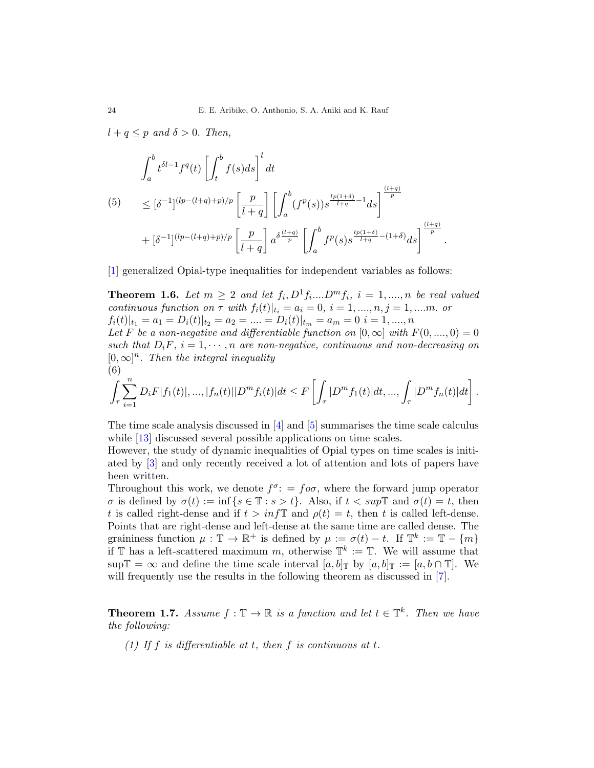$l + q \leq p$  and  $\delta > 0$ . Then,

<span id="page-2-0"></span>
$$
\int_{a}^{b} t^{\delta l - 1} f^{q}(t) \left[ \int_{t}^{b} f(s) ds \right]^{l} dt
$$
\n
$$
(5) \leq [\delta^{-1}]^{(lp - (l+q) + p)/p} \left[ \frac{p}{l+q} \right] \left[ \int_{a}^{b} (f^{p}(s)) s^{\frac{lp(1+\delta)}{l+q} - 1} ds \right]^{\frac{(l+q)}{p}}
$$
\n
$$
+ [\delta^{-1}]^{(lp - (l+q) + p)/p} \left[ \frac{p}{l+q} \right] a^{\delta \frac{(l+q)}{p}} \left[ \int_{a}^{b} f^{p}(s) s^{\frac{lp(1+\delta)}{l+q} - (1+\delta)} ds \right]^{\frac{(l+q)}{p}}
$$

[\[1\]](#page-7-5) generalized Opial-type inequalities for independent variables as follows:

**Theorem 1.6.** Let  $m \geq 2$  and let  $f_i, D^1 f_i ... D^m f_i$ ,  $i = 1, ..., n$  be real valued continuous function on  $\tau$  with  $f_i(t)|_{t_i} = a_i = 0, i = 1, ..., n, j = 1, ...$  or  $f_i(t)|_{t_1} = a_1 = D_i(t)|_{t_2} = a_2 = \dots = D_i(t)|_{t_m} = a_m = 0 \quad i = 1, \dots, n$ 

.

Let F be a non-negative and differentiable function on  $[0, \infty]$  with  $F(0, ..., 0) = 0$ such that  $D_iF$ ,  $i = 1, \dots, n$  are non-negative, continuous and non-decreasing on  $[0,\infty]^n$ . Then the integral inequality (6)

$$
\int_{\tau} \sum_{i=1}^{n} D_{i}F|f_{1}(t)|, \ldots, |f_{n}(t)||D^{m}f_{i}(t)|dt \leq F\left[\int_{\tau} |D^{m}f_{1}(t)|dt, \ldots, \int_{\tau} |D^{m}f_{n}(t)|dt\right].
$$

The time scale analysis discussed in [\[4\]](#page-7-6) and [\[5\]](#page-7-7) summarises the time scale calculus while [\[13\]](#page-8-4) discussed several possible applications on time scales.

However, the study of dynamic inequalities of Opial types on time scales is initiated by [\[3\]](#page-7-8) and only recently received a lot of attention and lots of papers have been written.

Throughout this work, we denote  $f^{\sigma}$ : =  $f \circ \sigma$ , where the forward jump operator  $\sigma$  is defined by  $\sigma(t) := \inf\{s \in \mathbb{T} : s > t\}.$  Also, if  $t < sup\mathbb{T}$  and  $\sigma(t) = t$ , then t is called right-dense and if  $t > inf\mathbb{T}$  and  $\rho(t) = t$ , then t is called left-dense. Points that are right-dense and left-dense at the same time are called dense. The graininess function  $\mu : \mathbb{T} \to \mathbb{R}^+$  is defined by  $\mu := \sigma(t) - t$ . If  $\mathbb{T}^k := \mathbb{T} - \{m\}$ if  $\mathbb T$  has a left-scattered maximum m, otherwise  $\mathbb T^k := \mathbb T$ . We will assume that sup  $\mathbb{T} = \infty$  and define the time scale interval  $[a, b]_{\mathbb{T}}$  by  $[a, b]_{\mathbb{T}} := [a, b \cap \mathbb{T}]$ . We will frequently use the results in the following theorem as discussed in [\[7\]](#page-7-9).

**Theorem 1.7.** Assume  $f : \mathbb{T} \to \mathbb{R}$  is a function and let  $t \in \mathbb{T}^k$ . Then we have the following:

(1) If f is differentiable at t, then f is continuous at t.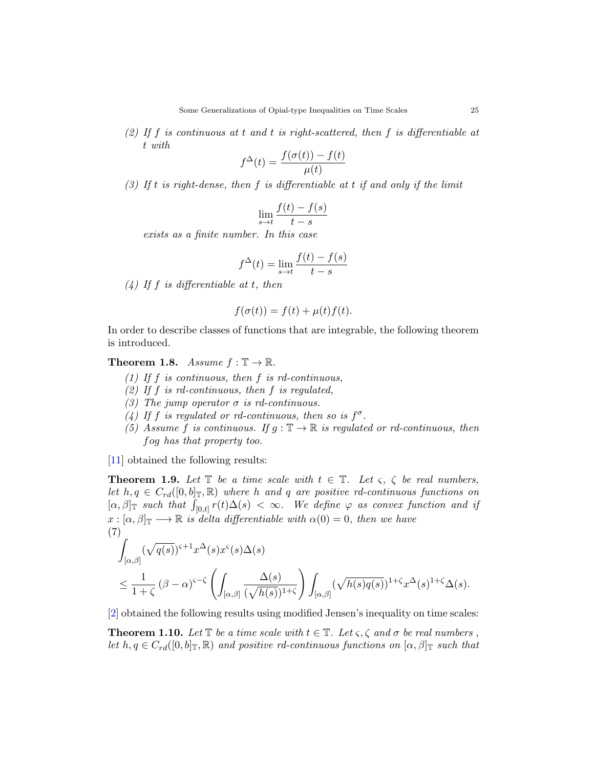(2) If f is continuous at t and t is right-scattered, then f is differentiable at t with

$$
f^{\Delta}(t) = \frac{f(\sigma(t)) - f(t)}{\mu(t)}
$$

(3) If t is right-dense, then f is differentiable at t if and only if the limit

$$
\lim_{s \to t} \frac{f(t) - f(s)}{t - s}
$$

exists as a finite number. In this case

$$
f^{\Delta}(t) = \lim_{s \to t} \frac{f(t) - f(s)}{t - s}
$$

 $(4)$  If f is differentiable at t, then

$$
f(\sigma(t)) = f(t) + \mu(t)f(t).
$$

In order to describe classes of functions that are integrable, the following theorem is introduced.

# **Theorem 1.8.** Assume  $f : \mathbb{T} \to \mathbb{R}$ .

- (1) If  $f$  is continuous, then  $f$  is rd-continuous,
- (2) If f is rd-continuous, then f is regulated.
- (3) The jump operator  $\sigma$  is rd-continuous.
- (4) If f is regulated or rd-continuous, then so is  $f^{\sigma}$ .
- (5) Assume f is continuous. If  $g : \mathbb{T} \to \mathbb{R}$  is regulated or rd-continuous, then fog has that property too.

[\[11\]](#page-7-10) obtained the following results:

**Theorem 1.9.** Let  $\mathbb{T}$  be a time scale with  $t \in \mathbb{T}$ . Let  $\varsigma$ ,  $\zeta$  be real numbers, let  $h, q \in C_{rd}([0, b]_{\mathbb{T}}, \mathbb{R})$  where h and q are positive rd-continuous functions on  $[\alpha, \beta]_{\mathbb{T}}$  such that  $\int_{[0,t]} r(t) \Delta(s) < \infty$ . We define  $\varphi$  as convex function and if  $x : [\alpha, \beta]_{\mathbb{T}} \longrightarrow \mathbb{R}$  is delta differentiable with  $\alpha(0) = 0$ , then we have (7)

$$
\int_{[\alpha,\beta]} (\sqrt{q(s)})^{s+1} x^{\Delta}(s) x^s(s) \Delta(s)
$$
\n
$$
\leq \frac{1}{1+\zeta} (\beta - \alpha)^{s-\zeta} \left( \int_{[\alpha,\beta]} \frac{\Delta(s)}{(\sqrt{h(s)})^{1+\zeta}} \right) \int_{[\alpha,\beta]} (\sqrt{h(s)q(s)})^{1+\zeta} x^{\Delta}(s)^{1+\zeta} \Delta(s).
$$

[\[2\]](#page-7-11) obtained the following results using modified Jensen's inequality on time scales:

**Theorem 1.10.** Let  $\mathbb{T}$  be a time scale with  $t \in \mathbb{T}$ . Let  $\varsigma, \zeta$  and  $\sigma$  be real numbers, let  $h, q \in C_{rd}([0, b]_{\mathbb{T}}, \mathbb{R})$  and positive rd-continuous functions on  $[\alpha, \beta]_{\mathbb{T}}$  such that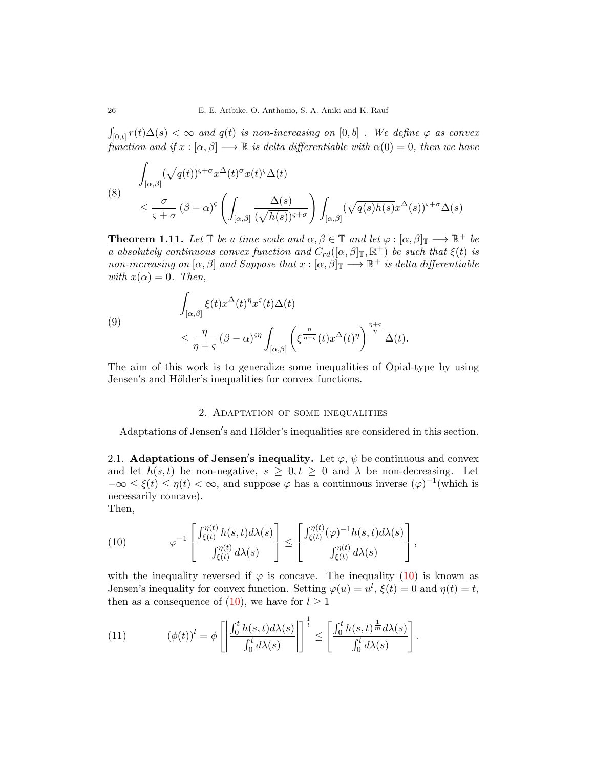$\int_{[0,t]} r(t) \Delta(s) < \infty$  and  $q(t)$  is non-increasing on  $[0,b]$  . We define  $\varphi$  as convex function and if  $x : [\alpha, \beta] \longrightarrow \mathbb{R}$  is delta differentiable with  $\alpha(0) = 0$ , then we have

(8) 
$$
\int_{[\alpha,\beta]} (\sqrt{q(t)})^{s+\sigma} x^{\Delta}(t)^{\sigma} x(t)^{\varsigma} \Delta(t)
$$
  
\n
$$
\leq \frac{\sigma}{\varsigma + \sigma} (\beta - \alpha)^{s} \left( \int_{[\alpha,\beta]} \frac{\Delta(s)}{(\sqrt{h(s)})^{s+\sigma}} \right) \int_{[\alpha,\beta]} (\sqrt{q(s)h(s)} x^{\Delta}(s))^{s+\sigma} \Delta(s)
$$

**Theorem 1.11.** Let  $\mathbb{T}$  be a time scale and  $\alpha, \beta \in \mathbb{T}$  and let  $\varphi : [\alpha, \beta]_{\mathbb{T}} \longrightarrow \mathbb{R}^+$  be a absolutely continuous convex function and  $C_{rd}([\alpha,\beta]_{\mathbb{T}},\mathbb{R}^+)$  be such that  $\xi(t)$  is non-increasing on  $[\alpha, \beta]$  and Suppose that  $x : [\alpha, \beta]_{\mathbb{T}} \longrightarrow \mathbb{R}^+$  is delta differentiable with  $x(\alpha) = 0$ . Then,

(9)  

$$
\int_{[\alpha,\beta]} \xi(t) x^{\Delta}(t)^{\eta} x^{\varsigma}(t) \Delta(t)
$$

$$
\leq \frac{\eta}{\eta + \varsigma} (\beta - \alpha)^{\varsigma \eta} \int_{[\alpha,\beta]} \left( \xi^{\frac{\eta}{\eta + \varsigma}}(t) x^{\Delta}(t)^{\eta} \right)^{\frac{\eta + \varsigma}{\eta}} \Delta(t).
$$

The aim of this work is to generalize some inequalities of Opial-type by using Jensen's and Hölder's inequalities for convex functions.

# 2. Adaptation of some inequalities

Adaptations of Jensen's and Hölder's inequalities are considered in this section.

2.1. Adaptations of Jensen's inequality. Let  $\varphi, \psi$  be continuous and convex and let  $h(s,t)$  be non-negative,  $s \geq 0, t \geq 0$  and  $\lambda$  be non-decreasing. Let  $-\infty \leq \xi(t) \leq \eta(t) < \infty$ , and suppose  $\varphi$  has a continuous inverse  $(\varphi)^{-1}$  (which is necessarily concave).

Then,

<span id="page-4-0"></span>(10) 
$$
\varphi^{-1}\left[\frac{\int_{\xi(t)}^{\eta(t)} h(s,t)d\lambda(s)}{\int_{\xi(t)}^{\eta(t)} d\lambda(s)}\right] \leq \left[\frac{\int_{\xi(t)}^{\eta(t)} (\varphi)^{-1} h(s,t)d\lambda(s)}{\int_{\xi(t)}^{\eta(t)} d\lambda(s)}\right],
$$

with the inequality reversed if  $\varphi$  is concave. The inequality [\(10\)](#page-4-0) is known as Jensen's inequality for convex function. Setting  $\varphi(u) = u^l$ ,  $\xi(t) = 0$  and  $\eta(t) = t$ , then as a consequence of [\(10\)](#page-4-0), we have for  $l \geq 1$ 

(11) 
$$
(\phi(t))^l = \phi \left[ \left| \frac{\int_0^t h(s, t) d\lambda(s)}{\int_0^t d\lambda(s)} \right| \right]^{\frac{1}{l}} \leq \left[ \frac{\int_0^t h(s, t)^{\frac{1}{m}} d\lambda(s)}{\int_0^t d\lambda(s)} \right].
$$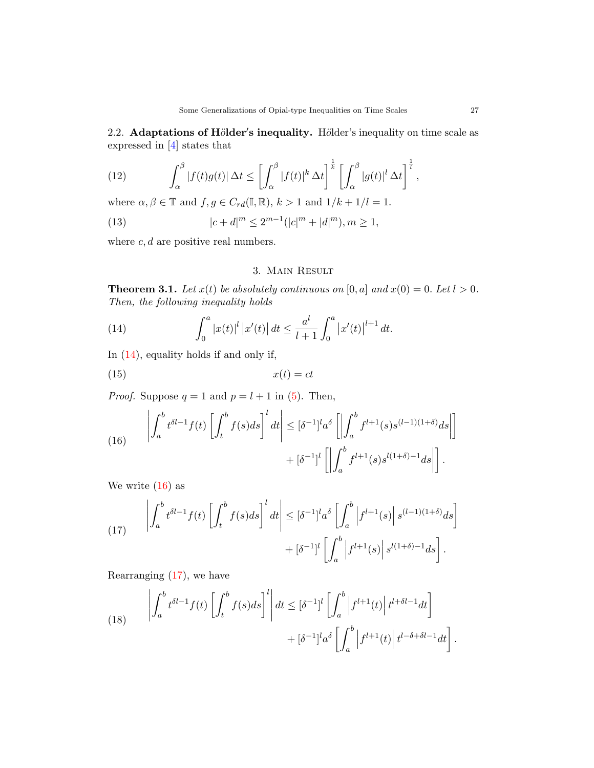2.2. Adaptations of Hölder's inequality. Hölder's inequality on time scale as expressed in [\[4\]](#page-7-6) states that

(12) 
$$
\int_{\alpha}^{\beta} |f(t)g(t)| \, \Delta t \leq \left[ \int_{\alpha}^{\beta} |f(t)|^{k} \, \Delta t \right]^{\frac{1}{k}} \left[ \int_{\alpha}^{\beta} |g(t)|^{l} \, \Delta t \right]^{\frac{1}{l}},
$$

where  $\alpha, \beta \in \mathbb{T}$  and  $f, g \in C_{rd}(\mathbb{I}, \mathbb{R}), k > 1$  and  $1/k + 1/l = 1$ .

(13) 
$$
|c+d|^m \le 2^{m-1}(|c|^m + |d|^m), m \ge 1,
$$

where  $c, d$  are positive real numbers.

# <span id="page-5-0"></span>3. Main Result

**Theorem 3.1.** Let  $x(t)$  be absolutely continuous on  $[0, a]$  and  $x(0) = 0$ . Let  $l > 0$ . Then, the following inequality holds

(14) 
$$
\int_0^a |x(t)|^l |x'(t)| dt \leq \frac{a^l}{l+1} \int_0^a |x'(t)|^{l+1} dt.
$$

In [\(14\)](#page-5-0), equality holds if and only if,

$$
(15) \t\t x(t) = ct
$$

*Proof.* Suppose  $q = 1$  and  $p = l + 1$  in [\(5\)](#page-2-0). Then,

<span id="page-5-1"></span>(16) 
$$
\left| \int_a^b t^{\delta l - 1} f(t) \left[ \int_t^b f(s) ds \right]^l dt \right| \leq [\delta^{-1}]^l a^{\delta} \left[ \left| \int_a^b f^{l+1}(s) s^{(l-1)(1+\delta)} ds \right| \right] + [\delta^{-1}]^l \left[ \left| \int_a^b f^{l+1}(s) s^{l(1+\delta)-1} ds \right| \right].
$$

We write  $(16)$  as

<span id="page-5-2"></span>(17) 
$$
\left| \int_{a}^{b} t^{\delta l - 1} f(t) \left[ \int_{t}^{b} f(s) ds \right]^{l} dt \right| \leq [\delta^{-1}]^{l} a^{\delta} \left[ \int_{a}^{b} \left| f^{l+1}(s) \right| s^{(l-1)(1+\delta)} ds \right] + [\delta^{-1}]^{l} \left[ \int_{a}^{b} \left| f^{l+1}(s) \right| s^{l(1+\delta)-1} ds \right].
$$

Rearranging  $(17)$ , we have

(18) 
$$
\left| \int_{a}^{b} t^{\delta l - 1} f(t) \left[ \int_{t}^{b} f(s) ds \right]^{l} \right| dt \leq [\delta^{-1}]^{l} \left[ \int_{a}^{b} \left| f^{l+1}(t) \right| t^{l+\delta l - 1} dt \right] + [\delta^{-1}]^{l} a^{\delta} \left[ \int_{a}^{b} \left| f^{l+1}(t) \right| t^{l-\delta + \delta l - 1} dt \right]
$$

.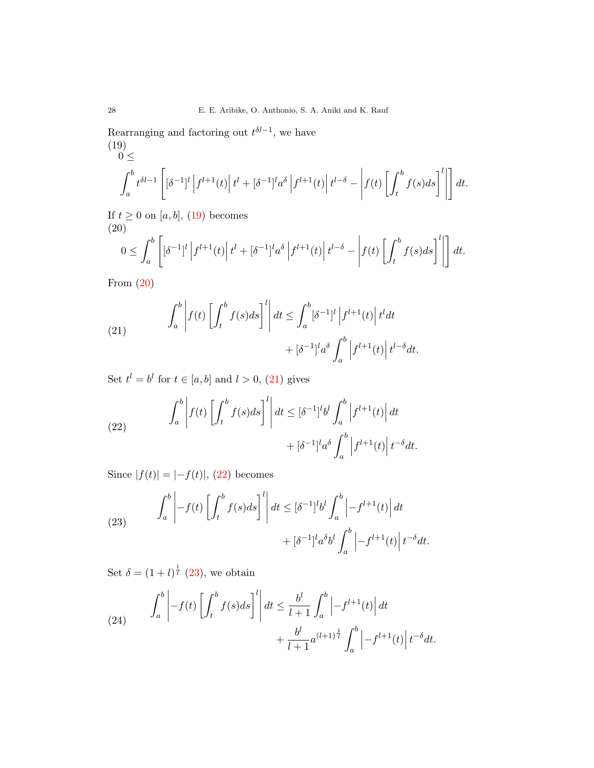Rearranging and factoring out  $t^{\delta l-1}$ , we have (19)

<span id="page-6-0"></span>
$$
0 \leq
$$
\n
$$
\int_{a}^{b} t^{\delta l - 1} \left[ \left[ \delta^{-1} \right]^{l} \left| f^{l+1}(t) \right| t^{l} + \left[ \delta^{-1} \right]^{l} a^{\delta} \left| f^{l+1}(t) \right| t^{l-\delta} - \left| f(t) \left[ \int_{t}^{b} f(s) ds \right]^{l} \right| \right] dt.
$$

If  $t \geq 0$  on [a, b], [\(19\)](#page-6-0) becomes

<span id="page-6-1"></span>(20)  

$$
0 \leq \int_a^b \left[ \left[ \delta^{-1} \right]^l \left| f^{l+1}(t) \right| t^l + \left[ \delta^{-1} \right]^l a^{\delta} \left| f^{l+1}(t) \right| t^{l-\delta} - \left| f(t) \left[ \int_t^b f(s) ds \right]^l \right| \right] dt.
$$

From [\(20\)](#page-6-1)

<span id="page-6-2"></span>(21) 
$$
\int_{a}^{b} \left| f(t) \left[ \int_{t}^{b} f(s) ds \right]^{l} \right| dt \leq \int_{a}^{b} \left[ \delta^{-1} \right]^{l} \left| f^{l+1}(t) \right| t^{l} dt + \left[ \delta^{-1} \right]^{l} a^{\delta} \int_{a}^{b} \left| f^{l+1}(t) \right| t^{l-\delta} dt.
$$

Set  $t^l = b^l$  for  $t \in [a, b]$  and  $l > 0$ , [\(21\)](#page-6-2) gives

<span id="page-6-3"></span>(22) 
$$
\int_{a}^{b} \left| f(t) \left[ \int_{t}^{b} f(s) ds \right]^{l} \right| dt \leq [\delta^{-1}]^{l} b^{l} \int_{a}^{b} \left| f^{l+1}(t) \right| dt + [\delta^{-1}]^{l} a^{\delta} \int_{a}^{b} \left| f^{l+1}(t) \right| t^{-\delta} dt.
$$

Since  $|f(t)| = |-f(t)|, (22)$  $|f(t)| = |-f(t)|, (22)$  becomes

<span id="page-6-4"></span>(23) 
$$
\int_{a}^{b} \left| -f(t) \left[ \int_{t}^{b} f(s) ds \right]^{l} \right| dt \leq [\delta^{-1}]^{l} b^{l} \int_{a}^{b} \left| -f^{l+1}(t) \right| dt + [\delta^{-1}]^{l} a^{\delta} b^{l} \int_{a}^{b} \left| -f^{l+1}(t) \right| t^{-\delta} dt.
$$

Set  $\delta = (1+l)^{\frac{1}{l}}$  [\(23\)](#page-6-4), we obtain

<span id="page-6-5"></span>(24) 
$$
\int_{a}^{b} \left| -f(t) \left[ \int_{t}^{b} f(s) ds \right]^{l} \right| dt \leq \frac{b^{l}}{l+1} \int_{a}^{b} \left| -f^{l+1}(t) \right| dt + \frac{b^{l}}{l+1} a^{(l+1) \frac{1}{l}} \int_{a}^{b} \left| -f^{l+1}(t) \right| t^{-\delta} dt.
$$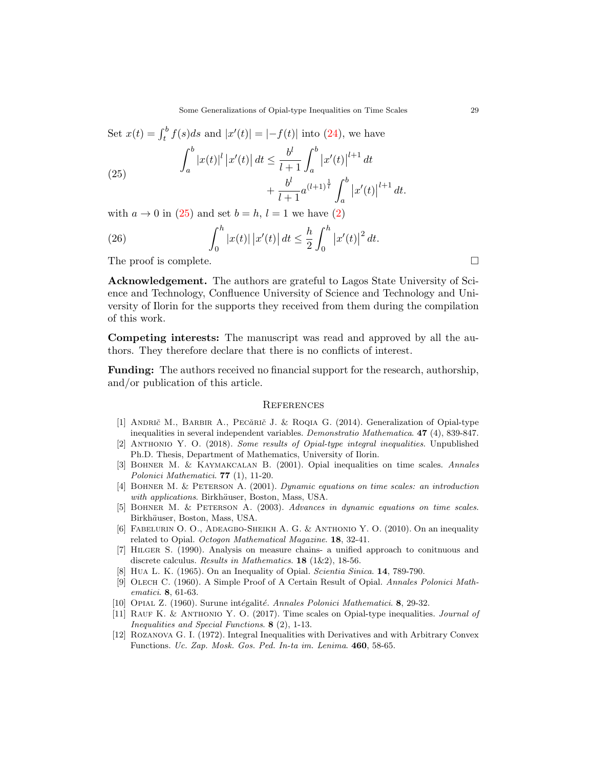Set  $x(t) = \int_t^b f(s)ds$  and  $|x'(t)| = |-f(t)|$  into [\(24\)](#page-6-5), we have

<span id="page-7-12"></span>(25) 
$$
\int_{a}^{b} |x(t)|^{l} |x'(t)| dt \leq \frac{b^{l}}{l+1} \int_{a}^{b} |x'(t)|^{l+1} dt + \frac{b^{l}}{l+1} a^{(l+1)^{\frac{1}{l}}} \int_{a}^{b} |x'(t)|^{l+1} dt.
$$

with  $a \to 0$  in [\(25\)](#page-7-12) and set  $b = h, l = 1$  we have [\(2\)](#page-1-2)

(26) 
$$
\int_0^h |x(t)| |x'(t)| dt \leq \frac{h}{2} \int_0^h |x'(t)|^2 dt.
$$

The proof is complete.

Acknowledgement. The authors are grateful to Lagos State University of Science and Technology, Confluence University of Science and Technology and University of Ilorin for the supports they received from them during the compilation of this work.

Competing interests: The manuscript was read and approved by all the authors. They therefore declare that there is no conflicts of interest.

Funding: The authors received no financial support for the research, authorship, and/or publication of this article.

#### **REFERENCES**

- <span id="page-7-5"></span>[1] ANDRIC M., BARBIR A., PECARIC J. & ROQIA G. (2014). Generalization of Opial-type inequalities in several independent variables. Demonstratio Mathematica. 47 (4), 839-847.
- <span id="page-7-11"></span>[2] Anthonio Y. O. (2018). Some results of Opial-type integral inequalities. Unpublished Ph.D. Thesis, Department of Mathematics, University of Ilorin.
- <span id="page-7-8"></span>[3] Bohner M. & Kaymakcalan B. (2001). Opial inequalities on time scales. Annales Polonici Mathematici. 77 (1), 11-20.
- <span id="page-7-6"></span>[4] Bohner M. & Peterson A. (2001). Dynamic equations on time scales: an introduction with applications. Birkhäuser, Boston, Mass, USA.
- <span id="page-7-7"></span>[5] BOHNER M. & PETERSON A. (2003). Advances in dynamic equations on time scales. Birkhäuser, Boston, Mass, USA.
- <span id="page-7-4"></span>[6] FABELURIN O. O., ADEAGBO-SHEIKH A. G. & ANTHONIO Y. O. (2010). On an inequality related to Opial. Octogon Mathematical Magazine. 18, 32-41.
- <span id="page-7-9"></span>[7] Hilger S. (1990). Analysis on measure chains- a unified approach to conitnuous and discrete calculus. Results in Mathematics. 18 (1&2), 18-56.
- <span id="page-7-2"></span>[8] Hua L. K. (1965). On an Inequality of Opial. Scientia Sinica. 14, 789-790.
- <span id="page-7-1"></span>[9] OLECH C. (1960). A Simple Proof of A Certain Result of Opial. Annales Polonici Mathematici. 8, 61-63.
- <span id="page-7-0"></span>[10] OPIAL Z. (1960). Surune intégalité. Annales Polonici Mathematici. 8, 29-32.
- <span id="page-7-10"></span>[11] RAUF K. & ANTHONIO Y. O. (2017). Time scales on Opial-type inequalities. Journal of Inequalities and Special Functions. 8 (2), 1-13.
- <span id="page-7-3"></span>[12] ROZANOVA G. I. (1972). Integral Inequalities with Derivatives and with Arbitrary Convex Functions. Uc. Zap. Mosk. Gos. Ped. In-ta im. Lenima. 460, 58-65.